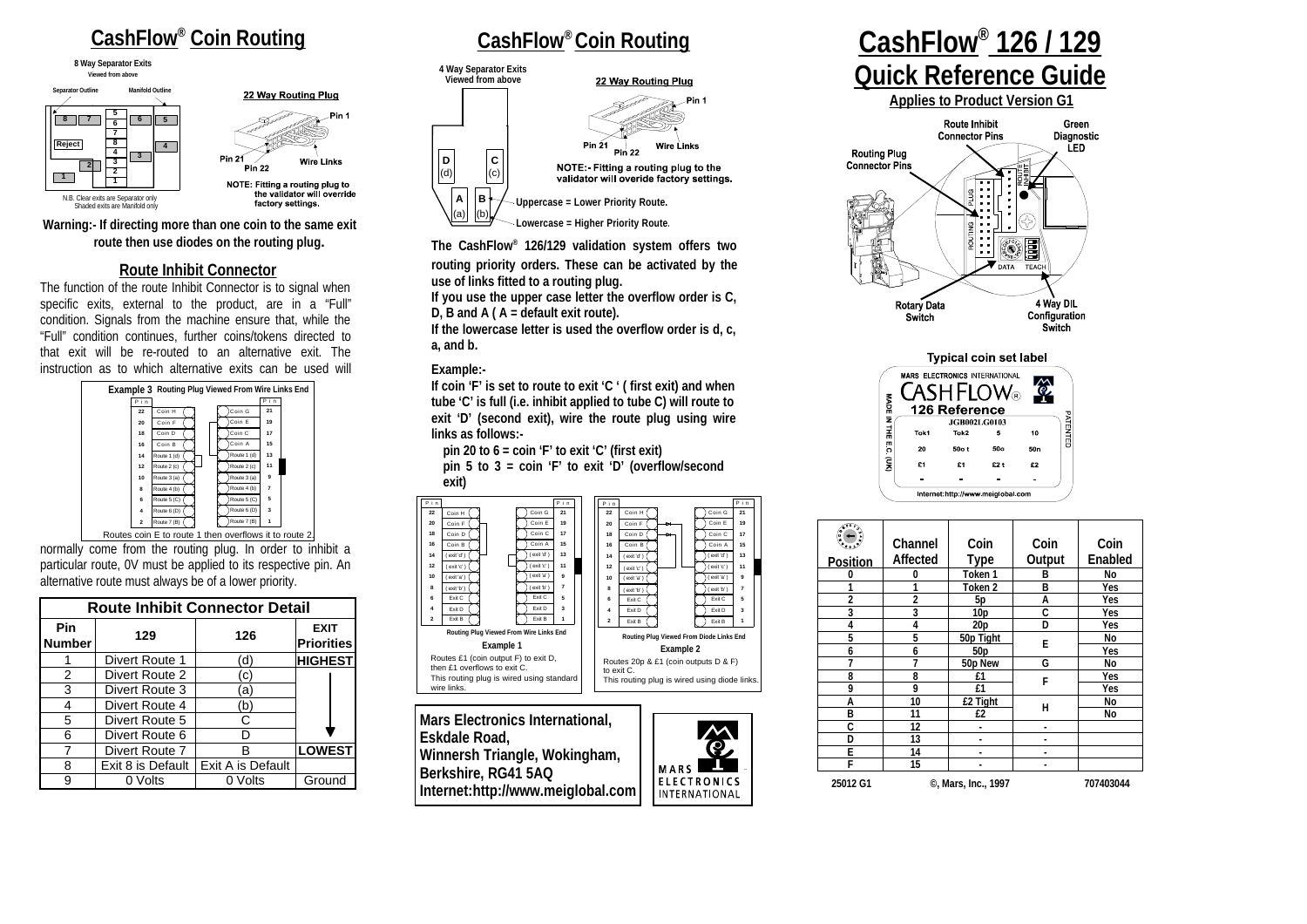# **CashFlow® Coin Routing**

**Viewed from above 8 Way Separator Exits**



22 Way Routing Plug



#### **Warning:- If directing more than one coin to the same exit route then use diodes on the routing plug.**

#### **Route Inhibit Connector**

The function of the route Inhibit Connector is to signal when specific exits, external to the product, are in a "Full" condition. Signals from the machine ensure that, while the "Full" condition continues, further coins/tokens directed to that exit will be re-routed to an alternative exit. The instruction as to which alternative exits can be used will



normally come from the routing plug. In order to inhibit a particular route, 0V must be applied to its respective pin. An alternative route must always be of a lower priority. Routes coin E to route 1 then overflows it to route 2.

| <b>Route Inhibit Connector Detail</b> |                   |                   |                                  |
|---------------------------------------|-------------------|-------------------|----------------------------------|
| Pin<br><b>Number</b>                  | 129               | 126               | <b>EXIT</b><br><b>Priorities</b> |
|                                       | Divert Route 1    | (ď                | <b>HIGHEST</b>                   |
| 2                                     | Divert Route 2    | (c)               |                                  |
| 3                                     | Divert Route 3    | (a)               |                                  |
| 4                                     | Divert Route 4    | (b'               |                                  |
| 5                                     | Divert Route 5    | C                 |                                  |
| 6                                     | Divert Route 6    |                   |                                  |
| 7                                     | Divert Route 7    | R                 | <b>LOWEST</b>                    |
| 8                                     | Exit 8 is Default | Exit A is Default |                                  |
| 9                                     | 0 Volts           | 0 Volts           | Ground                           |

# **CashFlow® Coin Routing**



**The CashFlow® 126/129 validation system offers two**

**routing priority orders. These can be activated by the use of links fitted to a routing plug.**

**If you use the upper case letter the overflow order is C, D, B and A ( A = default exit route).**

**If the lowercase letter is used the overflow order is d, c, a, and b.**

#### **Example:-**

**If coin 'F' is set to route to exit 'C ' ( first exit) and when tube 'C' is full (i.e. inhibit applied to tube C) will route to exit 'D' (second exit), wire the route plug using wire links as follows:-**

**pin 20 to 6 = coin 'F' to exit 'C' (first exit) pin 5 to 3 = coin 'F' to exit 'D' (overflow/second exit)**



# **CashFlow® 126 / 129 Quick Reference Guide**

**Applies to Product Version G1**





|                 | Channel<br>Affected | Coin<br>Type       | Coin<br>Output | Coin<br>Enabled |  |
|-----------------|---------------------|--------------------|----------------|-----------------|--|
| <b>Position</b> |                     |                    |                |                 |  |
| 0               | n                   | Token 1            | B              | No              |  |
|                 |                     | Token <sub>2</sub> | в              | Yes             |  |
| $\overline{2}$  | $\overline{2}$      | 5p                 | A              | Yes             |  |
| 3               | 3                   | 10 <sub>p</sub>    | Ċ              | Yes             |  |
| 4               | 4                   | 20p                | D              | Yes             |  |
| 5               | 5                   | 50p Tight          | E              | No              |  |
| 6               | 6                   | 50 <sub>p</sub>    |                | Yes             |  |
| 7               | 7                   | 50p New            | G              | No              |  |
| 8               | 8                   | £1                 | F              | Yes             |  |
| 9               | 9                   | £1                 |                | Yes             |  |
| А               | 10                  | £2 Tight           | н              | No              |  |
| B               | 11                  | £2                 |                | No              |  |
| Ċ               | 12                  |                    |                |                 |  |
| D               | 13                  | ۰                  |                |                 |  |
| E               | 14                  |                    |                |                 |  |
| F               | 15                  |                    |                |                 |  |
| 25012 G1        | ©, Mars, Inc., 1997 |                    |                | 707403044       |  |